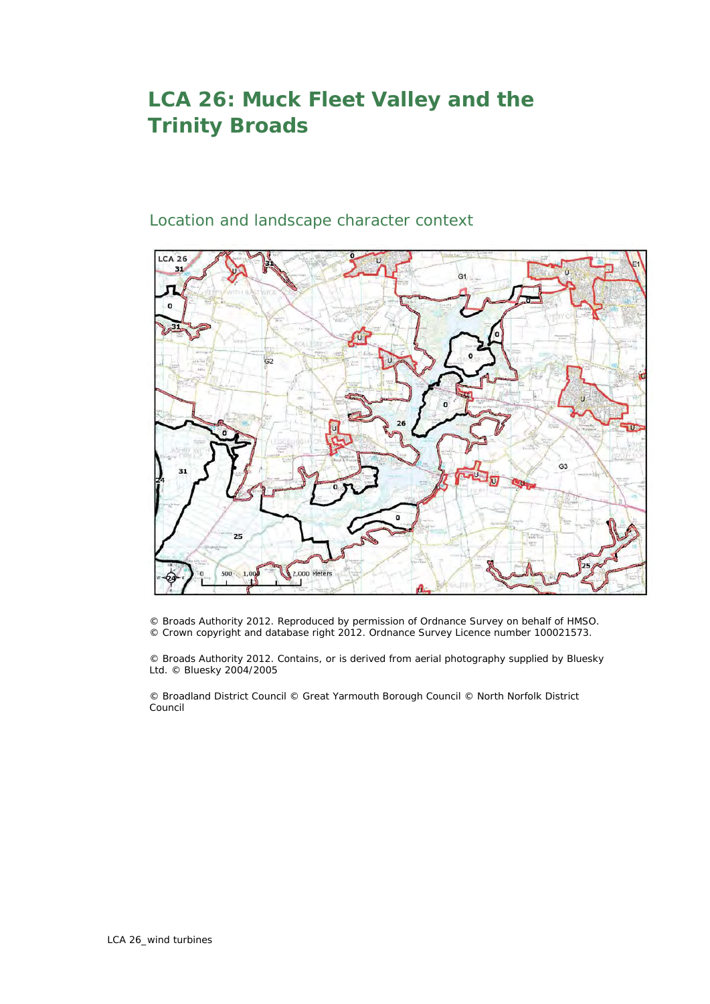## **LCA 26: Muck Fleet Valley and the Trinity Broads**

## Location and landscape character context



© Broads Authority 2012. Reproduced by permission of Ordnance Survey on behalf of HMSO. © Crown copyright and database right 2012. Ordnance Survey Licence number 100021573.

© Broads Authority 2012. Contains, or is derived from aerial photography supplied by Bluesky Ltd. © Bluesky 2004/2005

© Broadland District Council © Great Yarmouth Borough Council © North Norfolk District Council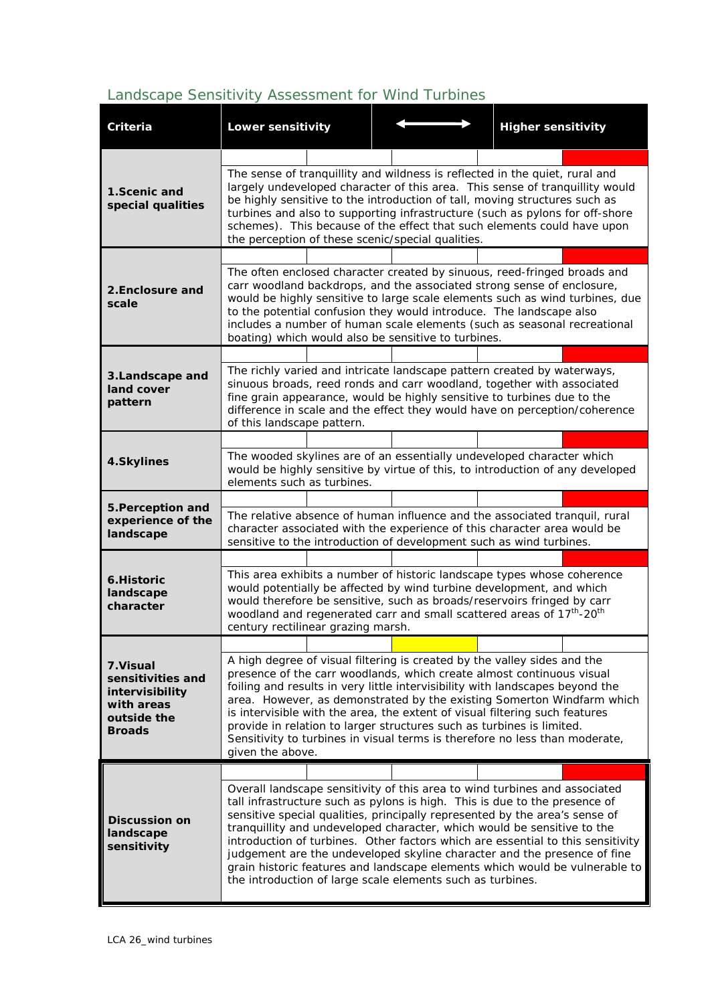## *Landscape Sensitivity Assessment for Wind Turbines*

| Criteria                                                                                        | <b>Lower sensitivity</b>                                                                                                                                                                                                                                                                                                                                                                                                                                                                                                                                                                                                       |  |  |                                                                                                                                                        |  | <b>Higher sensitivity</b> |  |  |
|-------------------------------------------------------------------------------------------------|--------------------------------------------------------------------------------------------------------------------------------------------------------------------------------------------------------------------------------------------------------------------------------------------------------------------------------------------------------------------------------------------------------------------------------------------------------------------------------------------------------------------------------------------------------------------------------------------------------------------------------|--|--|--------------------------------------------------------------------------------------------------------------------------------------------------------|--|---------------------------|--|--|
|                                                                                                 |                                                                                                                                                                                                                                                                                                                                                                                                                                                                                                                                                                                                                                |  |  |                                                                                                                                                        |  |                           |  |  |
| 1. Scenic and<br>special qualities                                                              | The sense of tranquillity and wildness is reflected in the quiet, rural and<br>largely undeveloped character of this area. This sense of tranquillity would<br>be highly sensitive to the introduction of tall, moving structures such as<br>turbines and also to supporting infrastructure (such as pylons for off-shore<br>schemes). This because of the effect that such elements could have upon<br>the perception of these scenic/special qualities.                                                                                                                                                                      |  |  |                                                                                                                                                        |  |                           |  |  |
|                                                                                                 |                                                                                                                                                                                                                                                                                                                                                                                                                                                                                                                                                                                                                                |  |  |                                                                                                                                                        |  |                           |  |  |
| 2. Enclosure and<br>scale                                                                       | The often enclosed character created by sinuous, reed-fringed broads and<br>carr woodland backdrops, and the associated strong sense of enclosure,<br>would be highly sensitive to large scale elements such as wind turbines, due<br>to the potential confusion they would introduce. The landscape also<br>includes a number of human scale elements (such as seasonal recreational<br>boating) which would also be sensitive to turbines.                                                                                                                                                                                   |  |  |                                                                                                                                                        |  |                           |  |  |
| 3.Landscape and<br>land cover<br>pattern                                                        |                                                                                                                                                                                                                                                                                                                                                                                                                                                                                                                                                                                                                                |  |  |                                                                                                                                                        |  |                           |  |  |
|                                                                                                 | The richly varied and intricate landscape pattern created by waterways,<br>sinuous broads, reed ronds and carr woodland, together with associated<br>fine grain appearance, would be highly sensitive to turbines due to the<br>difference in scale and the effect they would have on perception/coherence<br>of this landscape pattern.                                                                                                                                                                                                                                                                                       |  |  |                                                                                                                                                        |  |                           |  |  |
| 4.Skylines                                                                                      |                                                                                                                                                                                                                                                                                                                                                                                                                                                                                                                                                                                                                                |  |  |                                                                                                                                                        |  |                           |  |  |
|                                                                                                 | elements such as turbines.                                                                                                                                                                                                                                                                                                                                                                                                                                                                                                                                                                                                     |  |  | The wooded skylines are of an essentially undeveloped character which<br>would be highly sensitive by virtue of this, to introduction of any developed |  |                           |  |  |
| 5. Perception and<br>experience of the<br>landscape                                             |                                                                                                                                                                                                                                                                                                                                                                                                                                                                                                                                                                                                                                |  |  |                                                                                                                                                        |  |                           |  |  |
|                                                                                                 | The relative absence of human influence and the associated tranquil, rural<br>character associated with the experience of this character area would be<br>sensitive to the introduction of development such as wind turbines.                                                                                                                                                                                                                                                                                                                                                                                                  |  |  |                                                                                                                                                        |  |                           |  |  |
|                                                                                                 |                                                                                                                                                                                                                                                                                                                                                                                                                                                                                                                                                                                                                                |  |  |                                                                                                                                                        |  |                           |  |  |
| 6. Historic<br>landscape<br>character                                                           | This area exhibits a number of historic landscape types whose coherence<br>would potentially be affected by wind turbine development, and which<br>would therefore be sensitive, such as broads/reservoirs fringed by carr<br>woodland and regenerated carr and small scattered areas of 17 <sup>th</sup> -20 <sup>th</sup><br>century rectilinear grazing marsh.                                                                                                                                                                                                                                                              |  |  |                                                                                                                                                        |  |                           |  |  |
|                                                                                                 |                                                                                                                                                                                                                                                                                                                                                                                                                                                                                                                                                                                                                                |  |  |                                                                                                                                                        |  |                           |  |  |
| 7. Visual<br>sensitivities and<br>intervisibility<br>with areas<br>outside the<br><b>Broads</b> | A high degree of visual filtering is created by the valley sides and the<br>presence of the carr woodlands, which create almost continuous visual<br>foiling and results in very little intervisibility with landscapes beyond the<br>area. However, as demonstrated by the existing Somerton Windfarm which<br>is intervisible with the area, the extent of visual filtering such features<br>provide in relation to larger structures such as turbines is limited.<br>Sensitivity to turbines in visual terms is therefore no less than moderate,<br>given the above.                                                        |  |  |                                                                                                                                                        |  |                           |  |  |
|                                                                                                 |                                                                                                                                                                                                                                                                                                                                                                                                                                                                                                                                                                                                                                |  |  |                                                                                                                                                        |  |                           |  |  |
| <b>Discussion on</b><br>landscape<br>sensitivity                                                | Overall landscape sensitivity of this area to wind turbines and associated<br>tall infrastructure such as pylons is high. This is due to the presence of<br>sensitive special qualities, principally represented by the area's sense of<br>tranquillity and undeveloped character, which would be sensitive to the<br>introduction of turbines. Other factors which are essential to this sensitivity<br>judgement are the undeveloped skyline character and the presence of fine<br>grain historic features and landscape elements which would be vulnerable to<br>the introduction of large scale elements such as turbines. |  |  |                                                                                                                                                        |  |                           |  |  |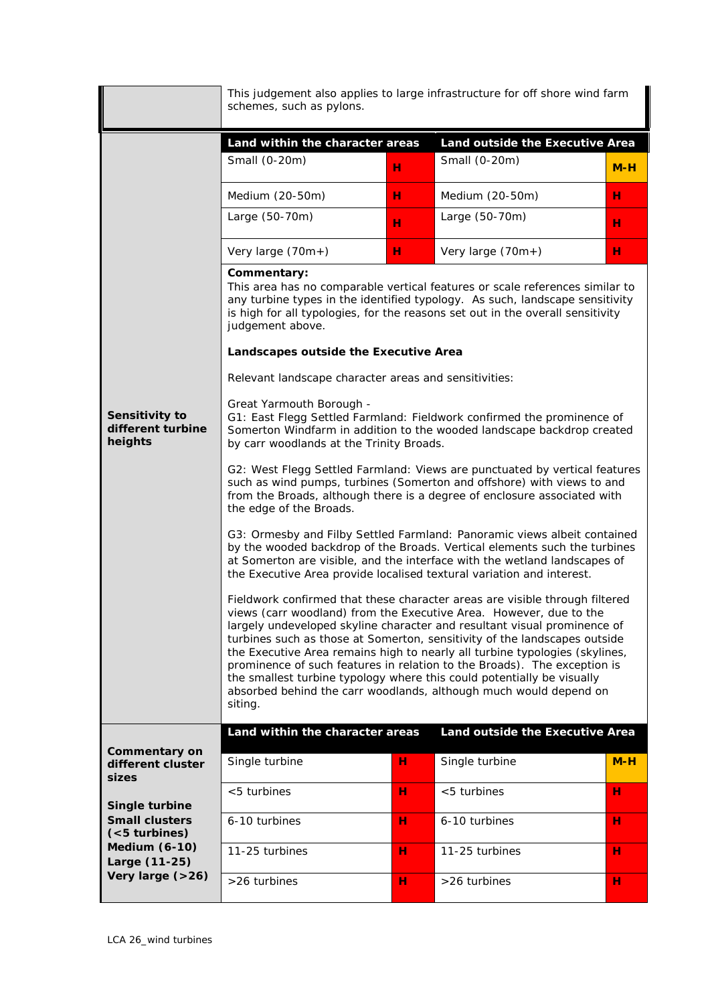|                                                                                                                                                                              | This judgement also applies to large infrastructure for off shore wind farm<br>schemes, such as pylons.                                                                                                                                                                                                                                                                                                                                                                                                                                                                                                                         |   |                   |       |  |  |  |  |  |
|------------------------------------------------------------------------------------------------------------------------------------------------------------------------------|---------------------------------------------------------------------------------------------------------------------------------------------------------------------------------------------------------------------------------------------------------------------------------------------------------------------------------------------------------------------------------------------------------------------------------------------------------------------------------------------------------------------------------------------------------------------------------------------------------------------------------|---|-------------------|-------|--|--|--|--|--|
|                                                                                                                                                                              | Land within the character areas<br>Land outside the Executive Area                                                                                                                                                                                                                                                                                                                                                                                                                                                                                                                                                              |   |                   |       |  |  |  |  |  |
|                                                                                                                                                                              | Small (0-20m)                                                                                                                                                                                                                                                                                                                                                                                                                                                                                                                                                                                                                   | н | Small (0-20m)     | $M-H$ |  |  |  |  |  |
|                                                                                                                                                                              | Medium (20-50m)                                                                                                                                                                                                                                                                                                                                                                                                                                                                                                                                                                                                                 | н | Medium (20-50m)   | н     |  |  |  |  |  |
|                                                                                                                                                                              | Large (50-70m)                                                                                                                                                                                                                                                                                                                                                                                                                                                                                                                                                                                                                  | н | Large (50-70m)    | н     |  |  |  |  |  |
|                                                                                                                                                                              | Very large (70m+)                                                                                                                                                                                                                                                                                                                                                                                                                                                                                                                                                                                                               | н | Very large (70m+) | H.    |  |  |  |  |  |
| Sensitivity to<br>different turbine<br>heights                                                                                                                               | Commentary:<br>This area has no comparable vertical features or scale references similar to<br>any turbine types in the identified typology. As such, landscape sensitivity<br>is high for all typologies, for the reasons set out in the overall sensitivity<br>judgement above.                                                                                                                                                                                                                                                                                                                                               |   |                   |       |  |  |  |  |  |
|                                                                                                                                                                              | Landscapes outside the Executive Area                                                                                                                                                                                                                                                                                                                                                                                                                                                                                                                                                                                           |   |                   |       |  |  |  |  |  |
|                                                                                                                                                                              | Relevant landscape character areas and sensitivities:                                                                                                                                                                                                                                                                                                                                                                                                                                                                                                                                                                           |   |                   |       |  |  |  |  |  |
|                                                                                                                                                                              | Great Yarmouth Borough -<br>G1: East Flegg Settled Farmland: Fieldwork confirmed the prominence of<br>Somerton Windfarm in addition to the wooded landscape backdrop created<br>by carr woodlands at the Trinity Broads.                                                                                                                                                                                                                                                                                                                                                                                                        |   |                   |       |  |  |  |  |  |
|                                                                                                                                                                              | G2: West Flegg Settled Farmland: Views are punctuated by vertical features<br>such as wind pumps, turbines (Somerton and offshore) with views to and<br>from the Broads, although there is a degree of enclosure associated with<br>the edge of the Broads.                                                                                                                                                                                                                                                                                                                                                                     |   |                   |       |  |  |  |  |  |
|                                                                                                                                                                              | G3: Ormesby and Filby Settled Farmland: Panoramic views albeit contained<br>by the wooded backdrop of the Broads. Vertical elements such the turbines<br>at Somerton are visible, and the interface with the wetland landscapes of<br>the Executive Area provide localised textural variation and interest.                                                                                                                                                                                                                                                                                                                     |   |                   |       |  |  |  |  |  |
|                                                                                                                                                                              | Fieldwork confirmed that these character areas are visible through filtered<br>views (carr woodland) from the Executive Area. However, due to the<br>largely undeveloped skyline character and resultant visual prominence of<br>turbines such as those at Somerton, sensitivity of the landscapes outside<br>the Executive Area remains high to nearly all turbine typologies (skylines,<br>prominence of such features in relation to the Broads). The exception is<br>the smallest turbine typology where this could potentially be visually<br>absorbed behind the carr woodlands, although much would depend on<br>siting. |   |                   |       |  |  |  |  |  |
| <b>Commentary on</b><br>different cluster<br>sizes<br>Single turbine<br><b>Small clusters</b><br>$(5$ turbines)<br><b>Medium (6-10)</b><br>Large (11-25)<br>Very large (>26) | Land within the character areas<br>Land outside the Executive Area                                                                                                                                                                                                                                                                                                                                                                                                                                                                                                                                                              |   |                   |       |  |  |  |  |  |
|                                                                                                                                                                              | Single turbine                                                                                                                                                                                                                                                                                                                                                                                                                                                                                                                                                                                                                  | н | Single turbine    | $M-H$ |  |  |  |  |  |
|                                                                                                                                                                              | $<$ 5 turbines                                                                                                                                                                                                                                                                                                                                                                                                                                                                                                                                                                                                                  | н | <5 turbines       | н     |  |  |  |  |  |
|                                                                                                                                                                              | 6-10 turbines                                                                                                                                                                                                                                                                                                                                                                                                                                                                                                                                                                                                                   | н | 6-10 turbines     | н     |  |  |  |  |  |
|                                                                                                                                                                              | 11-25 turbines                                                                                                                                                                                                                                                                                                                                                                                                                                                                                                                                                                                                                  | н | 11-25 turbines    | н     |  |  |  |  |  |
|                                                                                                                                                                              | >26 turbines                                                                                                                                                                                                                                                                                                                                                                                                                                                                                                                                                                                                                    | н | >26 turbines      | н     |  |  |  |  |  |